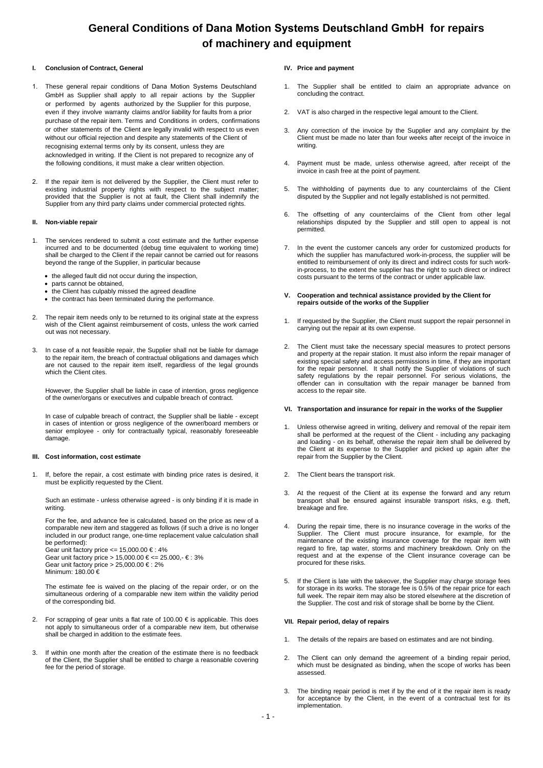# **General Conditions of Dana Motion Systems Deutschland GmbH for repairs of machinery and equipment**

## **I. Conclusion of Contract, General**

- These general repair conditions of Dana Motion Systems Deutschland GmbH as Supplier shall apply to all repair actions by the Supplier or performed by agents authorized by the Supplier for this purpose, even if they involve warranty claims and/or liability for faults from a prior purchase of the repair item. Terms and Conditions in orders, confirmations or other statements of the Client are legally invalid with respect to us even without our official rejection and despite any statements of the Client of recognising external terms only by its consent, unless they are acknowledged in writing. If the Client is not prepared to recognize any of the following conditions, it must make a clear written objection.
- If the repair item is not delivered by the Supplier, the Client must refer to existing industrial property rights with respect to the subject matter; provided that the Supplier is not at fault, the Client shall indemnify the Supplier from any third party claims under commercial protected rights.

### **II. Non-viable repair**

- 1. The services rendered to submit a cost estimate and the further expense incurred and to be documented (debug time equivalent to working time) shall be charged to the Client if the repair cannot be carried out for reasons beyond the range of the Supplier, in particular because
	- the alleged fault did not occur during the inspection,
	- parts cannot be obtained,
	- the Client has culpably missed the agreed deadline
	- the contract has been terminated during the performance.
- The repair item needs only to be returned to its original state at the express wish of the Client against reimbursement of costs, unless the work carried out was not necessary.
- 3. In case of a not feasible repair, the Supplier shall not be liable for damage to the repair item, the breach of contractual obligations and damages which are not caused to the repair item itself, regardless of the legal grounds which the Client cites.

However, the Supplier shall be liable in case of intention, gross negligence of the owner/organs or executives and culpable breach of contract.

In case of culpable breach of contract, the Supplier shall be liable - except in cases of intention or gross negligence of the owner/board members or senior employee - only for contractually typical, reasonably foreseeable damage.

## **III. Cost information, cost estimate**

1. If, before the repair, a cost estimate with binding price rates is desired, it must be explicitly requested by the Client.

Such an estimate - unless otherwise agreed - is only binding if it is made in writing.

For the fee, and advance fee is calculated, based on the price as new of a comparable new item and staggered as follows (if such a drive is no longer included in our product range, one-time replacement value calculation shall be performed):

Gear unit factory price <= 15,000.00 € : 4% Gear unit factory price > 15,000.00 € <= 25.000,  $\epsilon$  : 3% Gear unit factory price > 25,000.00 € : 2% Minimum: 180.00 €

The estimate fee is waived on the placing of the repair order, or on the simultaneous ordering of a comparable new item within the validity period of the corresponding bid.

- 2. For scrapping of gear units a flat rate of  $100.00 \in \mathbb{S}$  is applicable. This does not apply to simultaneous order of a comparable new item, but otherwise shall be charged in addition to the estimate fees.
- If within one month after the creation of the estimate there is no feedback of the Client, the Supplier shall be entitled to charge a reasonable covering fee for the period of storage.

### **IV. Price and payment**

- The Supplier shall be entitled to claim an appropriate advance on concluding the contract.
- 2. VAT is also charged in the respective legal amount to the Client.
- Any correction of the invoice by the Supplier and any complaint by the Client must be made no later than four weeks after receipt of the invoice in writing.
- 4. Payment must be made, unless otherwise agreed, after receipt of the invoice in cash free at the point of payment.
- 5. The withholding of payments due to any counterclaims of the Client disputed by the Supplier and not legally established is not permitted.
- 6. The offsetting of any counterclaims of the Client from other legal relationships disputed by the Supplier and still open to appeal is not permitted.
- 7. In the event the customer cancels any order for customized products for which the supplier has manufactured work-in-process, the supplier will be entitled to reimbursement of only its direct and indirect costs for such workin-process, to the extent the supplier has the right to such direct or indirect costs pursuant to the terms of the contract or under applicable law.
- **V. Cooperation and technical assistance provided by the Client for repairs outside of the works of the Supplier**
- 1. If requested by the Supplier, the Client must support the repair personnel in carrying out the repair at its own expense.
- 2. The Client must take the necessary special measures to protect persons and property at the repair station. It must also inform the repair manager of existing special safety and access permissions in time, if they are important for the repair personnel. It shall notify the Supplier of violations of such safety regulations by the repair personnel. For serious violations, the offender can in consultation with the repair manager be banned from access to the repair site.

### **VI. Transportation and insurance for repair in the works of the Supplier**

- Unless otherwise agreed in writing, delivery and removal of the repair item shall be performed at the request of the Client - including any packaging and loading - on its behalf, otherwise the repair item shall be delivered by the Client at its expense to the Supplier and picked up again after the repair from the Supplier by the Client.
- 2. The Client bears the transport risk.
- 3. At the request of the Client at its expense the forward and any return transport shall be ensured against insurable transport risks, e.g. theft, breakage and fire.
- 4. During the repair time, there is no insurance coverage in the works of the Supplier. The Client must procure insurance, for example, for the maintenance of the existing insurance coverage for the repair item with regard to fire, tap water, storms and machinery breakdown. Only on the request and at the expense of the Client insurance coverage can be procured for these risks.
- If the Client is late with the takeover, the Supplier may charge storage fees for storage in its works. The storage fee is 0.5% of the repair price for each full week. The repair item may also be stored elsewhere at the discretion of the Supplier. The cost and risk of storage shall be borne by the Client.

### **VII. Repair period, delay of repairs**

- 1. The details of the repairs are based on estimates and are not binding.
- 2. The Client can only demand the agreement of a binding repair period, which must be designated as binding, when the scope of works has been assessed.
- The binding repair period is met if by the end of it the repair item is ready for acceptance by the Client, in the event of a contractual test for its implementation.